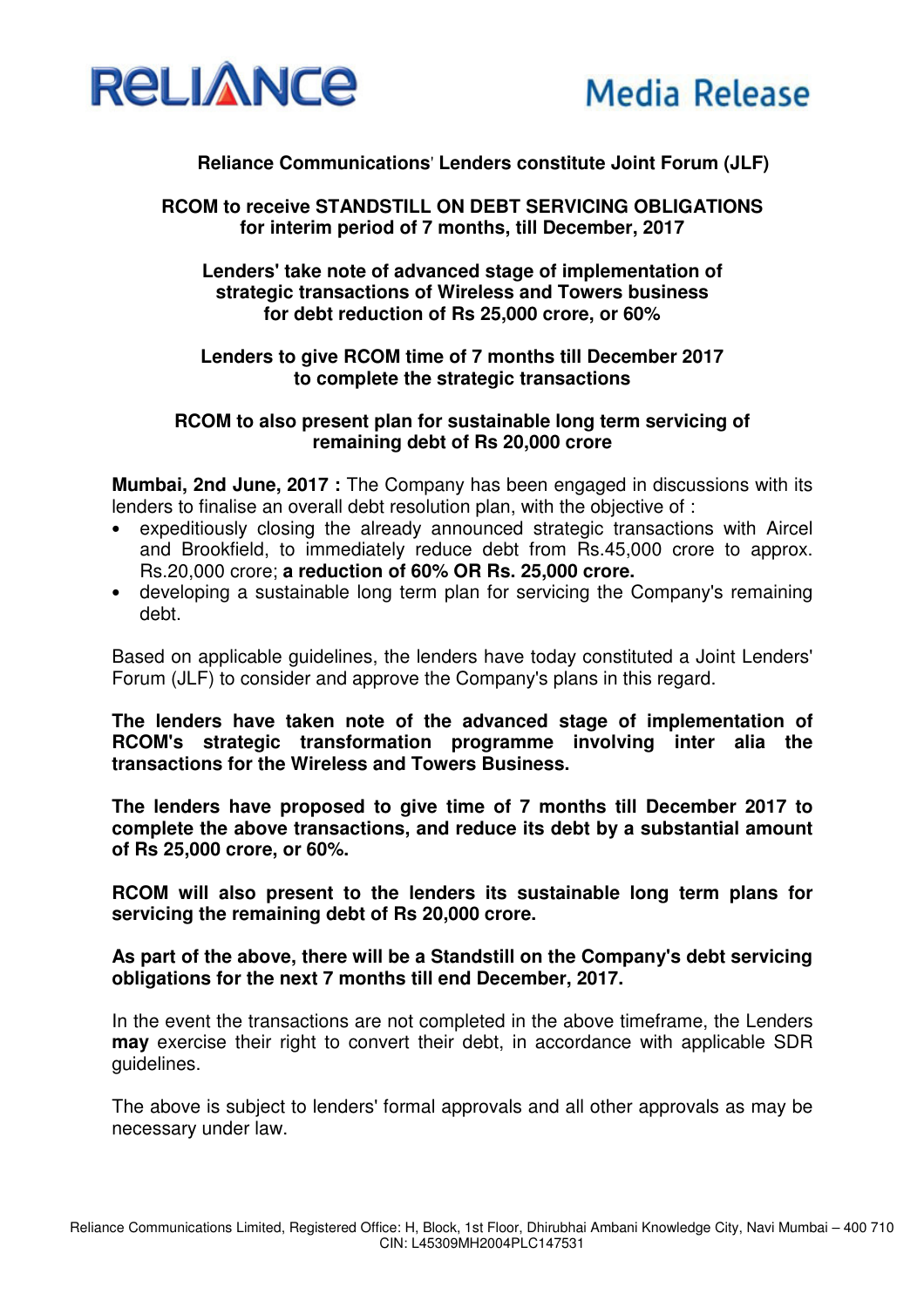

# **Reliance Communications**' **Lenders constitute Joint Forum (JLF)**

**RCOM to receive STANDSTILL ON DEBT SERVICING OBLIGATIONS for interim period of 7 months, till December, 2017**

**Lenders' take note of advanced stage of implementation of strategic transactions of Wireless and Towers business for debt reduction of Rs 25,000 crore, or 60%** 

### **Lenders to give RCOM time of 7 months till December 2017 to complete the strategic transactions**

#### **RCOM to also present plan for sustainable long term servicing of remaining debt of Rs 20,000 crore**

**Mumbai, 2nd June, 2017:** The Company has been engaged in discussions with its lenders to finalise an overall debt resolution plan, with the objective of :

- expeditiously closing the already announced strategic transactions with Aircel and Brookfield, to immediately reduce debt from Rs.45,000 crore to approx. Rs.20,000 crore; **a reduction of 60% OR Rs. 25,000 crore.**
- developing a sustainable long term plan for servicing the Company's remaining debt.

Based on applicable guidelines, the lenders have today constituted a Joint Lenders' Forum (JLF) to consider and approve the Company's plans in this regard.

**The lenders have taken note of the advanced stage of implementation of RCOM's strategic transformation programme involving inter alia the transactions for the Wireless and Towers Business.** 

**The lenders have proposed to give time of 7 months till December 2017 to complete the above transactions, and reduce its debt by a substantial amount of Rs 25,000 crore, or 60%.** 

**RCOM will also present to the lenders its sustainable long term plans for servicing the remaining debt of Rs 20,000 crore.** 

### **As part of the above, there will be a Standstill on the Company's debt servicing obligations for the next 7 months till end December, 2017.**

In the event the transactions are not completed in the above timeframe, the Lenders **may** exercise their right to convert their debt, in accordance with applicable SDR guidelines.

The above is subject to lenders' formal approvals and all other approvals as may be necessary under law.